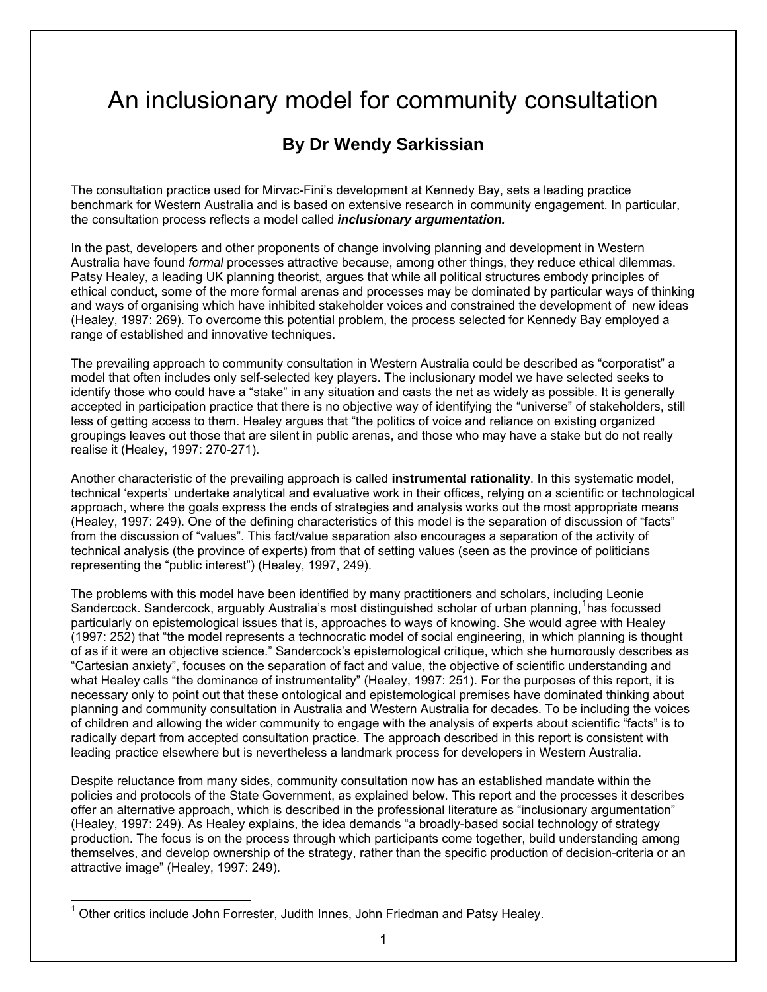# An inclusionary model for community consultation

# **By Dr Wendy Sarkissian**

The consultation practice used for Mirvac-Fini's development at Kennedy Bay, sets a leading practice benchmark for Western Australia and is based on extensive research in community engagement. In particular, the consultation process reflects a model called *inclusionary argumentation.*

In the past, developers and other proponents of change involving planning and development in Western Australia have found *formal* processes attractive because, among other things, they reduce ethical dilemmas. Patsy Healey, a leading UK planning theorist, argues that while all political structures embody principles of ethical conduct, some of the more formal arenas and processes may be dominated by particular ways of thinking and ways of organising which have inhibited stakeholder voices and constrained the development of new ideas (Healey, 1997: 269). To overcome this potential problem, the process selected for Kennedy Bay employed a range of established and innovative techniques.

The prevailing approach to community consultation in Western Australia could be described as "corporatist" a model that often includes only self-selected key players. The inclusionary model we have selected seeks to identify those who could have a "stake" in any situation and casts the net as widely as possible. It is generally accepted in participation practice that there is no objective way of identifying the "universe" of stakeholders, still less of getting access to them. Healey argues that "the politics of voice and reliance on existing organized groupings leaves out those that are silent in public arenas, and those who may have a stake but do not really realise it (Healey, 1997: 270-271).

Another characteristic of the prevailing approach is called **instrumental rationality**. In this systematic model, technical 'experts' undertake analytical and evaluative work in their offices, relying on a scientific or technological approach, where the goals express the ends of strategies and analysis works out the most appropriate means (Healey, 1997: 249). One of the defining characteristics of this model is the separation of discussion of "facts" from the discussion of "values". This fact/value separation also encourages a separation of the activity of technical analysis (the province of experts) from that of setting values (seen as the province of politicians representing the "public interest") (Healey, 1997, 249).

The problems with this model have been identified by many practitioners and scholars, including Leonie Sandercock. Sandercock, arguably Australia's most distinguished scholar of urban planning, <sup>[1](#page-0-0)</sup>has focussed particularly on epistemological issues that is, approaches to ways of knowing. She would agree with Healey (1997: 252) that "the model represents a technocratic model of social engineering, in which planning is thought of as if it were an objective science." Sandercock's epistemological critique, which she humorously describes as "Cartesian anxiety", focuses on the separation of fact and value, the objective of scientific understanding and what Healey calls "the dominance of instrumentality" (Healey, 1997: 251). For the purposes of this report, it is necessary only to point out that these ontological and epistemological premises have dominated thinking about planning and community consultation in Australia and Western Australia for decades. To be including the voices of children and allowing the wider community to engage with the analysis of experts about scientific "facts" is to radically depart from accepted consultation practice. The approach described in this report is consistent with leading practice elsewhere but is nevertheless a landmark process for developers in Western Australia.

Despite reluctance from many sides, community consultation now has an established mandate within the policies and protocols of the State Government, as explained below. This report and the processes it describes offer an alternative approach, which is described in the professional literature as "inclusionary argumentation" (Healey, 1997: 249). As Healey explains, the idea demands "a broadly-based social technology of strategy production. The focus is on the process through which participants come together, build understanding among themselves, and develop ownership of the strategy, rather than the specific production of decision-criteria or an attractive image" (Healey, 1997: 249).

<span id="page-0-0"></span><sup>&</sup>lt;u>nessen metals include John Forrester, Judith Innes, John Friedman and Patsy Healey.</u><br><sup>1</sup> Other critics include John Forrester, Judith Innes, John Friedman and Patsy Healey.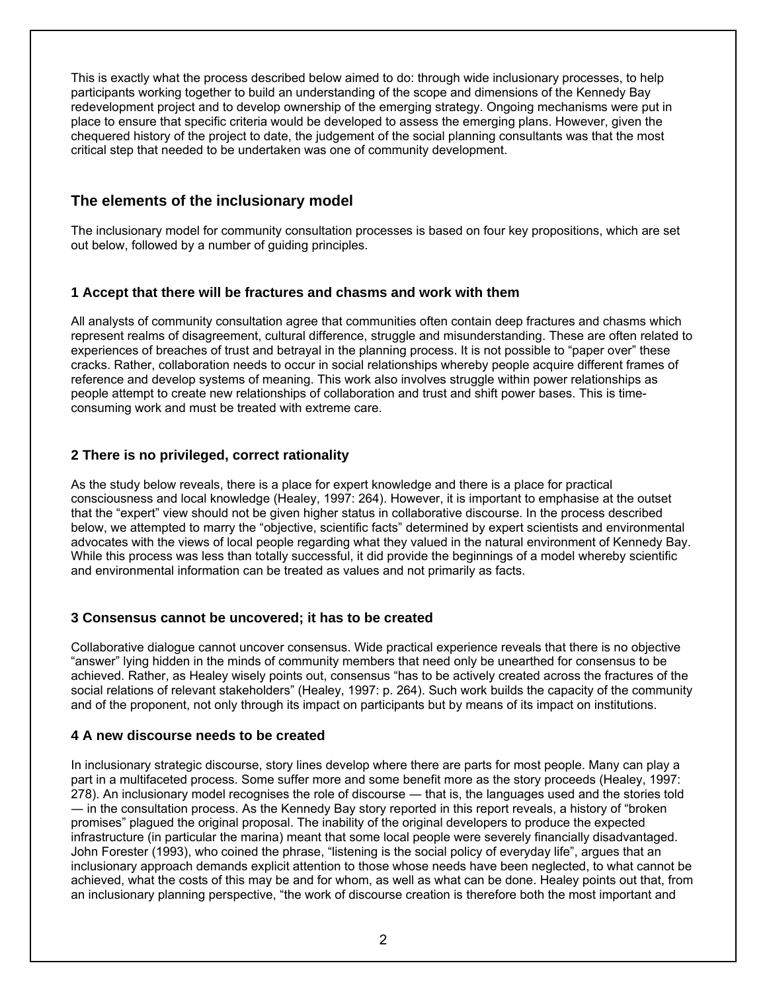This is exactly what the process described below aimed to do: through wide inclusionary processes, to help participants working together to build an understanding of the scope and dimensions of the Kennedy Bay redevelopment project and to develop ownership of the emerging strategy. Ongoing mechanisms were put in place to ensure that specific criteria would be developed to assess the emerging plans. However, given the chequered history of the project to date, the judgement of the social planning consultants was that the most critical step that needed to be undertaken was one of community development.

# **The elements of the inclusionary model**

The inclusionary model for community consultation processes is based on four key propositions, which are set out below, followed by a number of guiding principles.

### **1 Accept that there will be fractures and chasms and work with them**

All analysts of community consultation agree that communities often contain deep fractures and chasms which represent realms of disagreement, cultural difference, struggle and misunderstanding. These are often related to experiences of breaches of trust and betrayal in the planning process. It is not possible to "paper over" these cracks. Rather, collaboration needs to occur in social relationships whereby people acquire different frames of reference and develop systems of meaning. This work also involves struggle within power relationships as people attempt to create new relationships of collaboration and trust and shift power bases. This is timeconsuming work and must be treated with extreme care.

# **2 There is no privileged, correct rationality**

As the study below reveals, there is a place for expert knowledge and there is a place for practical consciousness and local knowledge (Healey, 1997: 264). However, it is important to emphasise at the outset that the "expert" view should not be given higher status in collaborative discourse. In the process described below, we attempted to marry the "objective, scientific facts" determined by expert scientists and environmental advocates with the views of local people regarding what they valued in the natural environment of Kennedy Bay. While this process was less than totally successful, it did provide the beginnings of a model whereby scientific and environmental information can be treated as values and not primarily as facts.

#### **3 Consensus cannot be uncovered; it has to be created**

Collaborative dialogue cannot uncover consensus. Wide practical experience reveals that there is no objective "answer" lying hidden in the minds of community members that need only be unearthed for consensus to be achieved. Rather, as Healey wisely points out, consensus "has to be actively created across the fractures of the social relations of relevant stakeholders" (Healey, 1997: p. 264). Such work builds the capacity of the community and of the proponent, not only through its impact on participants but by means of its impact on institutions.

#### **4 A new discourse needs to be created**

In inclusionary strategic discourse, story lines develop where there are parts for most people. Many can play a part in a multifaceted process. Some suffer more and some benefit more as the story proceeds (Healey, 1997: 278). An inclusionary model recognises the role of discourse ― that is, the languages used and the stories told ― in the consultation process. As the Kennedy Bay story reported in this report reveals, a history of "broken promises" plagued the original proposal. The inability of the original developers to produce the expected infrastructure (in particular the marina) meant that some local people were severely financially disadvantaged. John Forester (1993), who coined the phrase, "listening is the social policy of everyday life", argues that an inclusionary approach demands explicit attention to those whose needs have been neglected, to what cannot be achieved, what the costs of this may be and for whom, as well as what can be done. Healey points out that, from an inclusionary planning perspective, "the work of discourse creation is therefore both the most important and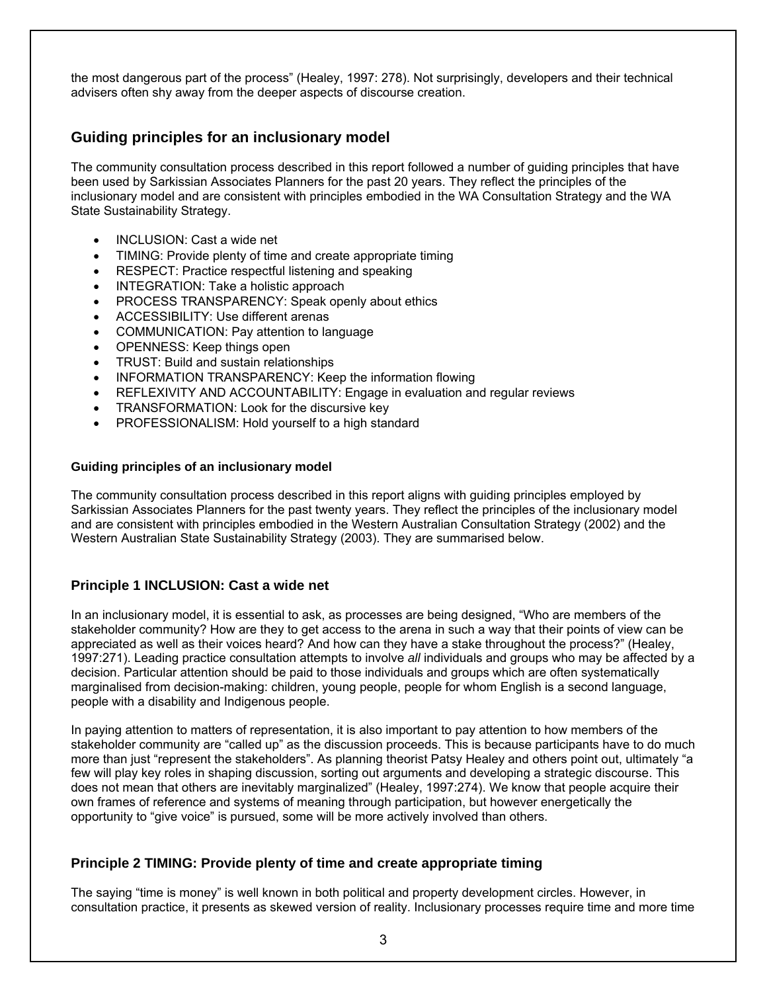the most dangerous part of the process" (Healey, 1997: 278). Not surprisingly, developers and their technical advisers often shy away from the deeper aspects of discourse creation.

# **Guiding principles for an inclusionary model**

The community consultation process described in this report followed a number of guiding principles that have been used by Sarkissian Associates Planners for the past 20 years. They reflect the principles of the inclusionary model and are consistent with principles embodied in the WA Consultation Strategy and the WA State Sustainability Strategy.

- INCLUSION: Cast a wide net
- TIMING: Provide plenty of time and create appropriate timing
- RESPECT: Practice respectful listening and speaking
- INTEGRATION: Take a holistic approach
- PROCESS TRANSPARENCY: Speak openly about ethics
- ACCESSIBILITY: Use different arenas
- COMMUNICATION: Pay attention to language
- OPENNESS: Keep things open
- TRUST: Build and sustain relationships
- INFORMATION TRANSPARENCY: Keep the information flowing
- REFLEXIVITY AND ACCOUNTABILITY: Engage in evaluation and regular reviews
- TRANSFORMATION: Look for the discursive key
- PROFESSIONALISM: Hold yourself to a high standard

#### **Guiding principles of an inclusionary model**

The community consultation process described in this report aligns with guiding principles employed by Sarkissian Associates Planners for the past twenty years. They reflect the principles of the inclusionary model and are consistent with principles embodied in the Western Australian Consultation Strategy (2002) and the Western Australian State Sustainability Strategy (2003). They are summarised below.

#### **Principle 1 INCLUSION: Cast a wide net**

In an inclusionary model, it is essential to ask, as processes are being designed, "Who are members of the stakeholder community? How are they to get access to the arena in such a way that their points of view can be appreciated as well as their voices heard? And how can they have a stake throughout the process?" (Healey, 1997:271). Leading practice consultation attempts to involve *all* individuals and groups who may be affected by a decision. Particular attention should be paid to those individuals and groups which are often systematically marginalised from decision-making: children, young people, people for whom English is a second language, people with a disability and Indigenous people.

In paying attention to matters of representation, it is also important to pay attention to how members of the stakeholder community are "called up" as the discussion proceeds. This is because participants have to do much more than just "represent the stakeholders". As planning theorist Patsy Healey and others point out, ultimately "a few will play key roles in shaping discussion, sorting out arguments and developing a strategic discourse. This does not mean that others are inevitably marginalized" (Healey, 1997:274). We know that people acquire their own frames of reference and systems of meaning through participation, but however energetically the opportunity to "give voice" is pursued, some will be more actively involved than others.

#### **Principle 2 TIMING: Provide plenty of time and create appropriate timing**

The saying "time is money" is well known in both political and property development circles. However, in consultation practice, it presents as skewed version of reality. Inclusionary processes require time and more time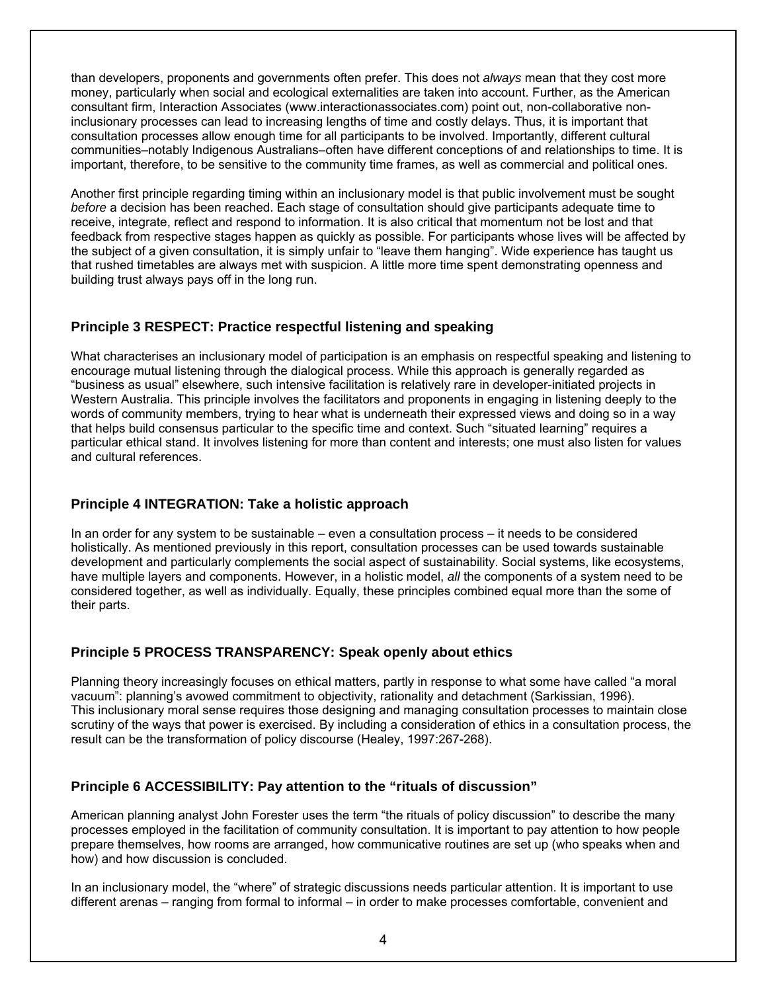than developers, proponents and governments often prefer. This does not *always* mean that they cost more money, particularly when social and ecological externalities are taken into account. Further, as the American consultant firm, Interaction Associates (www.interactionassociates.com) point out, non-collaborative noninclusionary processes can lead to increasing lengths of time and costly delays. Thus, it is important that consultation processes allow enough time for all participants to be involved. Importantly, different cultural communities–notably Indigenous Australians–often have different conceptions of and relationships to time. It is important, therefore, to be sensitive to the community time frames, as well as commercial and political ones.

Another first principle regarding timing within an inclusionary model is that public involvement must be sought *before* a decision has been reached. Each stage of consultation should give participants adequate time to receive, integrate, reflect and respond to information. It is also critical that momentum not be lost and that feedback from respective stages happen as quickly as possible. For participants whose lives will be affected by the subject of a given consultation, it is simply unfair to "leave them hanging". Wide experience has taught us that rushed timetables are always met with suspicion. A little more time spent demonstrating openness and building trust always pays off in the long run.

#### **Principle 3 RESPECT: Practice respectful listening and speaking**

What characterises an inclusionary model of participation is an emphasis on respectful speaking and listening to encourage mutual listening through the dialogical process. While this approach is generally regarded as "business as usual" elsewhere, such intensive facilitation is relatively rare in developer-initiated projects in Western Australia. This principle involves the facilitators and proponents in engaging in listening deeply to the words of community members, trying to hear what is underneath their expressed views and doing so in a way that helps build consensus particular to the specific time and context. Such "situated learning" requires a particular ethical stand. It involves listening for more than content and interests; one must also listen for values and cultural references.

#### **Principle 4 INTEGRATION: Take a holistic approach**

In an order for any system to be sustainable – even a consultation process – it needs to be considered holistically. As mentioned previously in this report, consultation processes can be used towards sustainable development and particularly complements the social aspect of sustainability. Social systems, like ecosystems, have multiple layers and components. However, in a holistic model, *all* the components of a system need to be considered together, as well as individually. Equally, these principles combined equal more than the some of their parts.

#### **Principle 5 PROCESS TRANSPARENCY: Speak openly about ethics**

Planning theory increasingly focuses on ethical matters, partly in response to what some have called "a moral vacuum": planning's avowed commitment to objectivity, rationality and detachment (Sarkissian, 1996). This inclusionary moral sense requires those designing and managing consultation processes to maintain close scrutiny of the ways that power is exercised. By including a consideration of ethics in a consultation process, the result can be the transformation of policy discourse (Healey, 1997:267-268).

#### **Principle 6 ACCESSIBILITY: Pay attention to the "rituals of discussion"**

American planning analyst John Forester uses the term "the rituals of policy discussion" to describe the many processes employed in the facilitation of community consultation. It is important to pay attention to how people prepare themselves, how rooms are arranged, how communicative routines are set up (who speaks when and how) and how discussion is concluded.

In an inclusionary model, the "where" of strategic discussions needs particular attention. It is important to use different arenas – ranging from formal to informal – in order to make processes comfortable, convenient and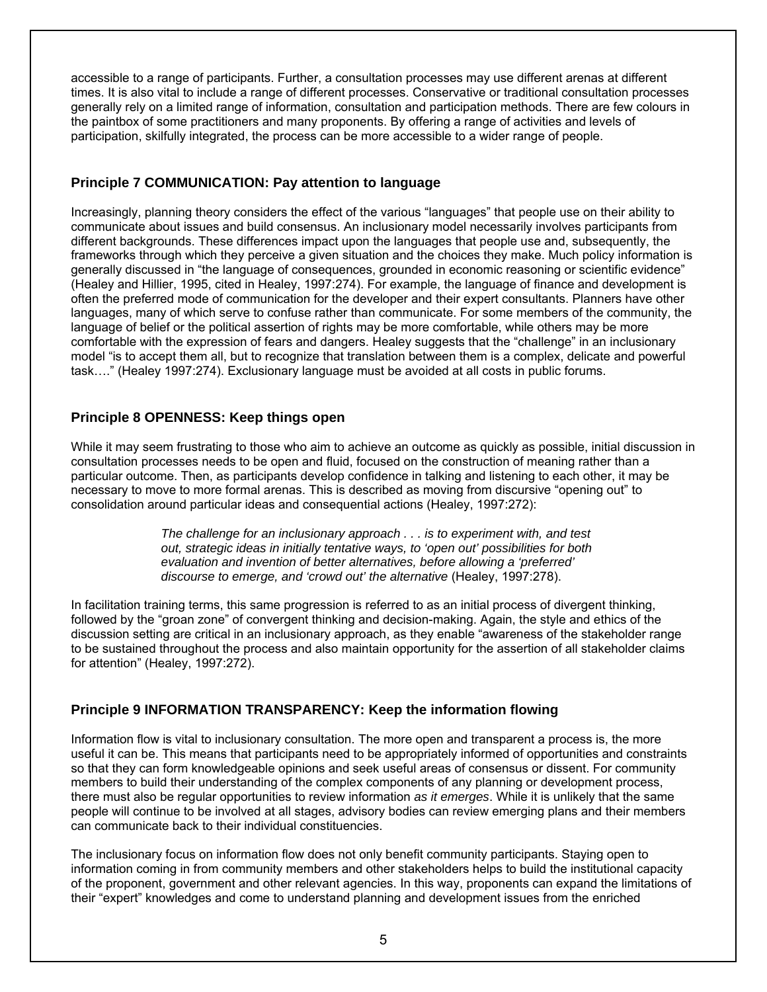accessible to a range of participants. Further, a consultation processes may use different arenas at different times. It is also vital to include a range of different processes. Conservative or traditional consultation processes generally rely on a limited range of information, consultation and participation methods. There are few colours in the paintbox of some practitioners and many proponents. By offering a range of activities and levels of participation, skilfully integrated, the process can be more accessible to a wider range of people.

#### **Principle 7 COMMUNICATION: Pay attention to language**

Increasingly, planning theory considers the effect of the various "languages" that people use on their ability to communicate about issues and build consensus. An inclusionary model necessarily involves participants from different backgrounds. These differences impact upon the languages that people use and, subsequently, the frameworks through which they perceive a given situation and the choices they make. Much policy information is generally discussed in "the language of consequences, grounded in economic reasoning or scientific evidence" (Healey and Hillier, 1995, cited in Healey, 1997:274). For example, the language of finance and development is often the preferred mode of communication for the developer and their expert consultants. Planners have other languages, many of which serve to confuse rather than communicate. For some members of the community, the language of belief or the political assertion of rights may be more comfortable, while others may be more comfortable with the expression of fears and dangers. Healey suggests that the "challenge" in an inclusionary model "is to accept them all, but to recognize that translation between them is a complex, delicate and powerful task…." (Healey 1997:274). Exclusionary language must be avoided at all costs in public forums.

#### **Principle 8 OPENNESS: Keep things open**

While it may seem frustrating to those who aim to achieve an outcome as quickly as possible, initial discussion in consultation processes needs to be open and fluid, focused on the construction of meaning rather than a particular outcome. Then, as participants develop confidence in talking and listening to each other, it may be necessary to move to more formal arenas. This is described as moving from discursive "opening out" to consolidation around particular ideas and consequential actions (Healey, 1997:272):

> *The challenge for an inclusionary approach . . . is to experiment with, and test out, strategic ideas in initially tentative ways, to 'open out' possibilities for both evaluation and invention of better alternatives, before allowing a 'preferred' discourse to emerge, and 'crowd out' the alternative* (Healey, 1997:278).

In facilitation training terms, this same progression is referred to as an initial process of divergent thinking, followed by the "groan zone" of convergent thinking and decision-making. Again, the style and ethics of the discussion setting are critical in an inclusionary approach, as they enable "awareness of the stakeholder range to be sustained throughout the process and also maintain opportunity for the assertion of all stakeholder claims for attention" (Healey, 1997:272).

# **Principle 9 INFORMATION TRANSPARENCY: Keep the information flowing**

Information flow is vital to inclusionary consultation. The more open and transparent a process is, the more useful it can be. This means that participants need to be appropriately informed of opportunities and constraints so that they can form knowledgeable opinions and seek useful areas of consensus or dissent. For community members to build their understanding of the complex components of any planning or development process, there must also be regular opportunities to review information *as it emerges*. While it is unlikely that the same people will continue to be involved at all stages, advisory bodies can review emerging plans and their members can communicate back to their individual constituencies.

The inclusionary focus on information flow does not only benefit community participants. Staying open to information coming in from community members and other stakeholders helps to build the institutional capacity of the proponent, government and other relevant agencies. In this way, proponents can expand the limitations of their "expert" knowledges and come to understand planning and development issues from the enriched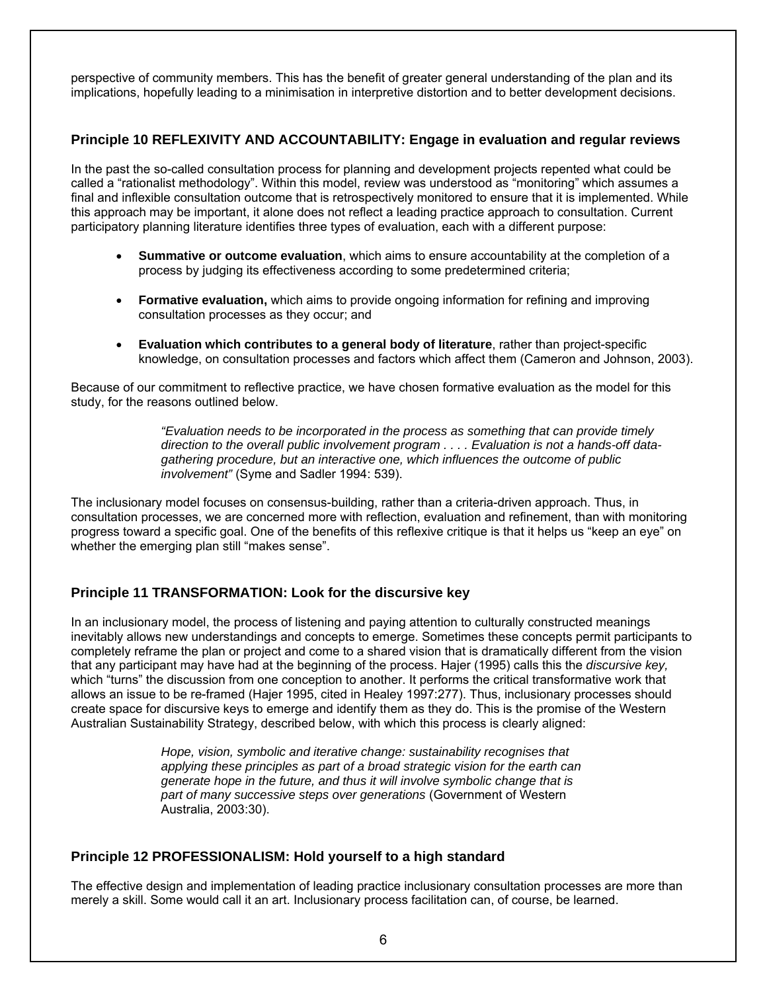perspective of community members. This has the benefit of greater general understanding of the plan and its implications, hopefully leading to a minimisation in interpretive distortion and to better development decisions.

#### **Principle 10 REFLEXIVITY AND ACCOUNTABILITY: Engage in evaluation and regular reviews**

In the past the so-called consultation process for planning and development projects repented what could be called a "rationalist methodology". Within this model, review was understood as "monitoring" which assumes a final and inflexible consultation outcome that is retrospectively monitored to ensure that it is implemented. While this approach may be important, it alone does not reflect a leading practice approach to consultation. Current participatory planning literature identifies three types of evaluation, each with a different purpose:

- **Summative or outcome evaluation**, which aims to ensure accountability at the completion of a process by judging its effectiveness according to some predetermined criteria;
- **Formative evaluation,** which aims to provide ongoing information for refining and improving consultation processes as they occur; and
- **Evaluation which contributes to a general body of literature**, rather than project-specific knowledge, on consultation processes and factors which affect them (Cameron and Johnson, 2003).

Because of our commitment to reflective practice, we have chosen formative evaluation as the model for this study, for the reasons outlined below.

> *"Evaluation needs to be incorporated in the process as something that can provide timely direction to the overall public involvement program . . . . Evaluation is not a hands-off datagathering procedure, but an interactive one, which influences the outcome of public involvement"* (Syme and Sadler 1994: 539).

The inclusionary model focuses on consensus-building, rather than a criteria-driven approach. Thus, in consultation processes, we are concerned more with reflection, evaluation and refinement, than with monitoring progress toward a specific goal. One of the benefits of this reflexive critique is that it helps us "keep an eye" on whether the emerging plan still "makes sense".

#### **Principle 11 TRANSFORMATION: Look for the discursive key**

In an inclusionary model, the process of listening and paying attention to culturally constructed meanings inevitably allows new understandings and concepts to emerge. Sometimes these concepts permit participants to completely reframe the plan or project and come to a shared vision that is dramatically different from the vision that any participant may have had at the beginning of the process. Hajer (1995) calls this the *discursive key,*  which "turns" the discussion from one conception to another. It performs the critical transformative work that allows an issue to be re-framed (Hajer 1995, cited in Healey 1997:277). Thus, inclusionary processes should create space for discursive keys to emerge and identify them as they do. This is the promise of the Western Australian Sustainability Strategy, described below, with which this process is clearly aligned:

> *Hope, vision, symbolic and iterative change: sustainability recognises that applying these principles as part of a broad strategic vision for the earth can generate hope in the future, and thus it will involve symbolic change that is part of many successive steps over generations* (Government of Western Australia, 2003:30).

#### **Principle 12 PROFESSIONALISM: Hold yourself to a high standard**

The effective design and implementation of leading practice inclusionary consultation processes are more than merely a skill. Some would call it an art. Inclusionary process facilitation can, of course, be learned.